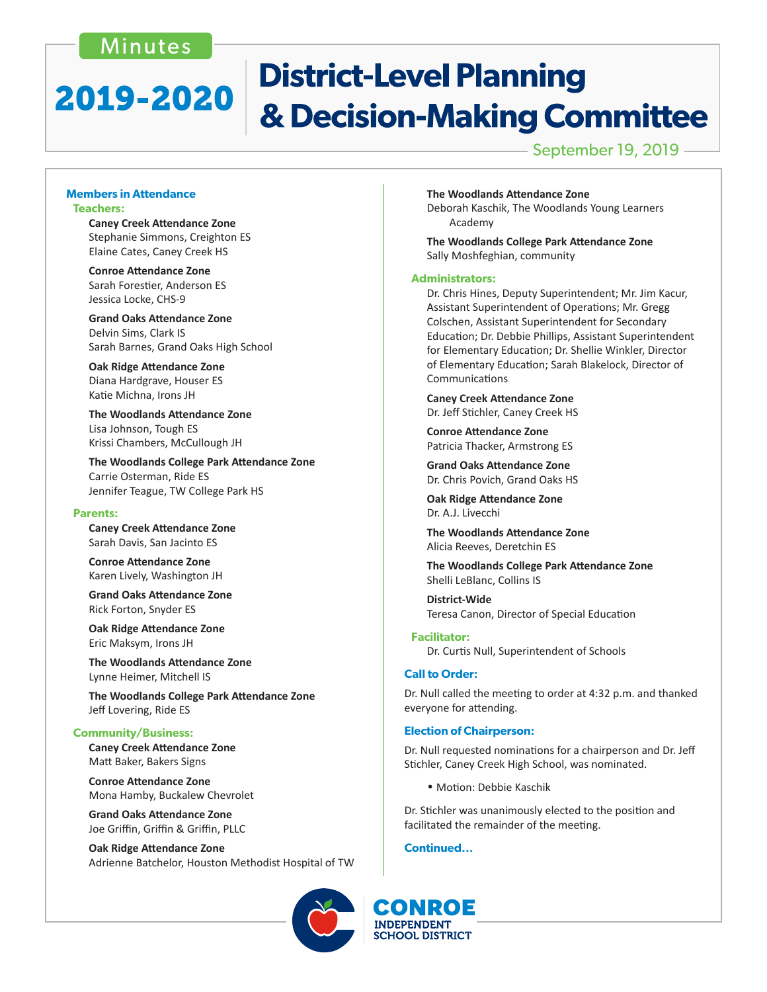### Minutes

# **District-Level Planning** 2019-2020 & Decision-Making Committee

September 19, 2019

### **Members in Attendance Teachers:**

 **Caney Creek Attendance Zone** Stephanie Simmons, Creighton ES Elaine Cates, Caney Creek HS

 **Conroe Attendance Zone** Sarah Forestier, Anderson ES Jessica Locke, CHS-9

 **Grand Oaks Attendance Zone** Delvin Sims, Clark IS Sarah Barnes, Grand Oaks High School

 **Oak Ridge Attendance Zone** Diana Hardgrave, Houser ES Katie Michna, Irons JH

 **The Woodlands Attendance Zone** Lisa Johnson, Tough ES Krissi Chambers, McCullough JH

 **The Woodlands College Park Attendance Zone** Carrie Osterman, Ride ES Jennifer Teague, TW College Park HS

### **Parents:**

 **Caney Creek Attendance Zone** Sarah Davis, San Jacinto ES

 **Conroe Attendance Zone** Karen Lively, Washington JH

 **Grand Oaks Attendance Zone** Rick Forton, Snyder ES

 **Oak Ridge Attendance Zone** Eric Maksym, Irons JH

 **The Woodlands Attendance Zone** Lynne Heimer, Mitchell IS

 **The Woodlands College Park Attendance Zone** Jeff Lovering, Ride ES

### **Community/Business:**

 **Caney Creek Attendance Zone** Matt Baker, Bakers Signs

 **Conroe Attendance Zone** Mona Hamby, Buckalew Chevrolet

 **Grand Oaks Attendance Zone** Joe Griffin, Griffin & Griffin, PLLC

 **Oak Ridge Attendance Zone** Adrienne Batchelor, Houston Methodist Hospital of TW

 **The Woodlands Attendance Zone**

 Deborah Kaschik, The Woodlands Young Learners Academy

 **The Woodlands College Park Attendance Zone** Sally Moshfeghian, community

### **Administrators:**

 Dr. Chris Hines, Deputy Superintendent; Mr. Jim Kacur, Assistant Superintendent of Operations; Mr. Gregg Colschen, Assistant Superintendent for Secondary Education; Dr. Debbie Phillips, Assistant Superintendent for Elementary Education; Dr. Shellie Winkler, Director of Elementary Education; Sarah Blakelock, Director of Communications

 **Caney Creek Attendance Zone** Dr. Jeff Stichler, Caney Creek HS

 **Conroe Attendance Zone** Patricia Thacker, Armstrong ES

 **Grand Oaks Attendance Zone** Dr. Chris Povich, Grand Oaks HS

 **Oak Ridge Attendance Zone** Dr. A.J. Livecchi

 **The Woodlands Attendance Zone** Alicia Reeves, Deretchin ES

 **The Woodlands College Park Attendance Zone** Shelli LeBlanc, Collins IS

**District-Wide** Teresa Canon, Director of Special Education

### **Facilitator:**

 Dr. Curtis Null, Superintendent of Schools

### **Call to Order:**

Dr. Null called the meeting to order at 4:32 p.m. and thanked everyone for attending.

### **Election of Chairperson:**

Dr. Null requested nominations for a chairperson and Dr. Jeff Stichler, Caney Creek High School, was nominated.

• Motion: Debbie Kaschik

Dr. Stichler was unanimously elected to the position and facilitated the remainder of the meeting.

**Continued...**